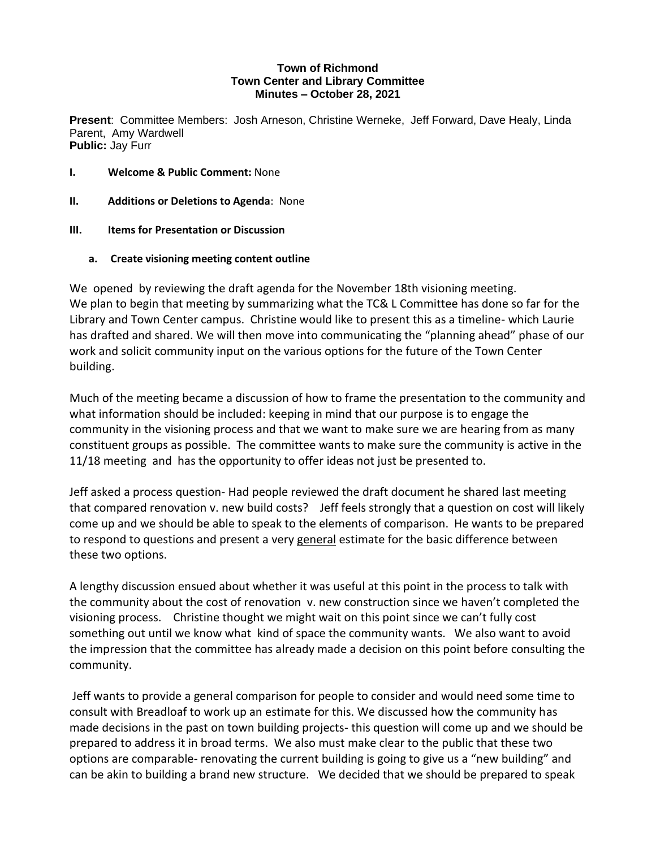## **Town of Richmond Town Center and Library Committee Minutes – October 28, 2021**

**Present**: Committee Members: Josh Arneson, Christine Werneke, Jeff Forward, Dave Healy, Linda Parent, Amy Wardwell **Public:** Jay Furr

- **I. Welcome & Public Comment:** None
- **II. Additions or Deletions to Agenda**: None
- **III. Items for Presentation or Discussion**
	- **a. Create visioning meeting content outline**

We opened by reviewing the draft agenda for the November 18th visioning meeting. We plan to begin that meeting by summarizing what the TC& L Committee has done so far for the Library and Town Center campus. Christine would like to present this as a timeline- which Laurie has drafted and shared. We will then move into communicating the "planning ahead" phase of our work and solicit community input on the various options for the future of the Town Center building.

Much of the meeting became a discussion of how to frame the presentation to the community and what information should be included: keeping in mind that our purpose is to engage the community in the visioning process and that we want to make sure we are hearing from as many constituent groups as possible. The committee wants to make sure the community is active in the 11/18 meeting and has the opportunity to offer ideas not just be presented to.

Jeff asked a process question- Had people reviewed the draft document he shared last meeting that compared renovation v. new build costs? Jeff feels strongly that a question on cost will likely come up and we should be able to speak to the elements of comparison. He wants to be prepared to respond to questions and present a very general estimate for the basic difference between these two options.

A lengthy discussion ensued about whether it was useful at this point in the process to talk with the community about the cost of renovation v. new construction since we haven't completed the visioning process. Christine thought we might wait on this point since we can't fully cost something out until we know what kind of space the community wants. We also want to avoid the impression that the committee has already made a decision on this point before consulting the community.

Jeff wants to provide a general comparison for people to consider and would need some time to consult with Breadloaf to work up an estimate for this. We discussed how the community has made decisions in the past on town building projects- this question will come up and we should be prepared to address it in broad terms. We also must make clear to the public that these two options are comparable- renovating the current building is going to give us a "new building" and can be akin to building a brand new structure. We decided that we should be prepared to speak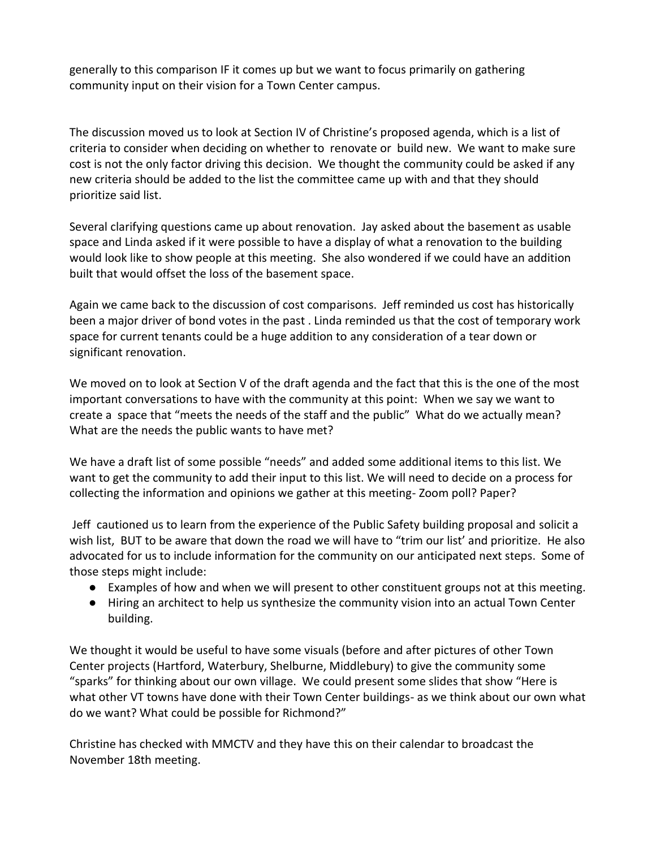generally to this comparison IF it comes up but we want to focus primarily on gathering community input on their vision for a Town Center campus.

The discussion moved us to look at Section IV of Christine's proposed agenda, which is a list of criteria to consider when deciding on whether to renovate or build new. We want to make sure cost is not the only factor driving this decision. We thought the community could be asked if any new criteria should be added to the list the committee came up with and that they should prioritize said list.

Several clarifying questions came up about renovation. Jay asked about the basement as usable space and Linda asked if it were possible to have a display of what a renovation to the building would look like to show people at this meeting. She also wondered if we could have an addition built that would offset the loss of the basement space.

Again we came back to the discussion of cost comparisons. Jeff reminded us cost has historically been a major driver of bond votes in the past . Linda reminded us that the cost of temporary work space for current tenants could be a huge addition to any consideration of a tear down or significant renovation.

We moved on to look at Section V of the draft agenda and the fact that this is the one of the most important conversations to have with the community at this point: When we say we want to create a space that "meets the needs of the staff and the public" What do we actually mean? What are the needs the public wants to have met?

We have a draft list of some possible "needs" and added some additional items to this list. We want to get the community to add their input to this list. We will need to decide on a process for collecting the information and opinions we gather at this meeting- Zoom poll? Paper?

Jeff cautioned us to learn from the experience of the Public Safety building proposal and solicit a wish list, BUT to be aware that down the road we will have to "trim our list' and prioritize. He also advocated for us to include information for the community on our anticipated next steps. Some of those steps might include:

- Examples of how and when we will present to other constituent groups not at this meeting.
- Hiring an architect to help us synthesize the community vision into an actual Town Center building.

We thought it would be useful to have some visuals (before and after pictures of other Town Center projects (Hartford, Waterbury, Shelburne, Middlebury) to give the community some "sparks" for thinking about our own village. We could present some slides that show "Here is what other VT towns have done with their Town Center buildings- as we think about our own what do we want? What could be possible for Richmond?"

Christine has checked with MMCTV and they have this on their calendar to broadcast the November 18th meeting.